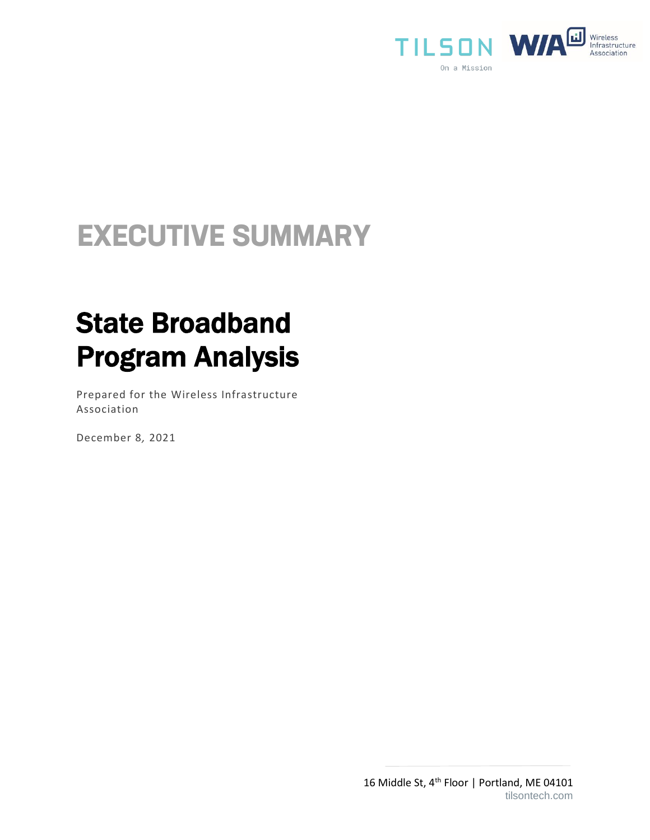

# **EXECUTIVE SUMMARY**

# State Broadband Program Analysis

Prepared for the Wireless Infrastructure Association

December 8*,* 2021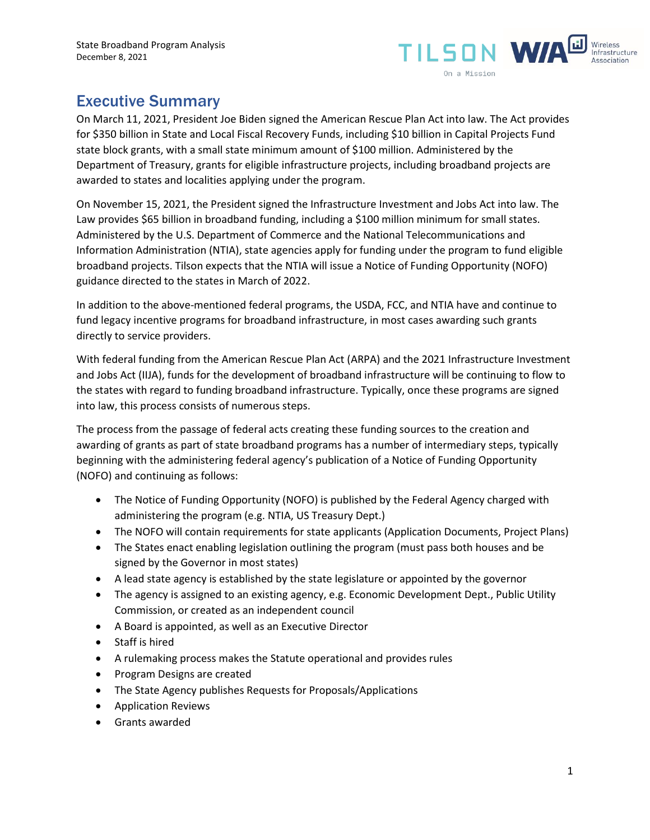

## Executive Summary

On March 11, 2021, President Joe Biden signed the American Rescue Plan Act into law. The Act provides for \$350 billion in State and Local Fiscal Recovery Funds, including \$10 billion in Capital Projects Fund state block grants, with a small state minimum amount of \$100 million. Administered by the Department of Treasury, grants for eligible infrastructure projects, including broadband projects are awarded to states and localities applying under the program.

On November 15, 2021, the President signed the Infrastructure Investment and Jobs Act into law. The Law provides \$65 billion in broadband funding, including a \$100 million minimum for small states. Administered by the U.S. Department of Commerce and the National Telecommunications and Information Administration (NTIA), state agencies apply for funding under the program to fund eligible broadband projects. Tilson expects that the NTIA will issue a Notice of Funding Opportunity (NOFO) guidance directed to the states in March of 2022.

In addition to the above-mentioned federal programs, the USDA, FCC, and NTIA have and continue to fund legacy incentive programs for broadband infrastructure, in most cases awarding such grants directly to service providers.

With federal funding from the American Rescue Plan Act (ARPA) and the 2021 Infrastructure Investment and Jobs Act (IIJA), funds for the development of broadband infrastructure will be continuing to flow to the states with regard to funding broadband infrastructure. Typically, once these programs are signed into law, this process consists of numerous steps.

The process from the passage of federal acts creating these funding sources to the creation and awarding of grants as part of state broadband programs has a number of intermediary steps, typically beginning with the administering federal agency's publication of a Notice of Funding Opportunity (NOFO) and continuing as follows:

- The Notice of Funding Opportunity (NOFO) is published by the Federal Agency charged with administering the program (e.g. NTIA, US Treasury Dept.)
- The NOFO will contain requirements for state applicants (Application Documents, Project Plans)
- The States enact enabling legislation outlining the program (must pass both houses and be signed by the Governor in most states)
- A lead state agency is established by the state legislature or appointed by the governor
- The agency is assigned to an existing agency, e.g. Economic Development Dept., Public Utility Commission, or created as an independent council
- A Board is appointed, as well as an Executive Director
- Staff is hired
- A rulemaking process makes the Statute operational and provides rules
- Program Designs are created
- The State Agency publishes Requests for Proposals/Applications
- Application Reviews
- Grants awarded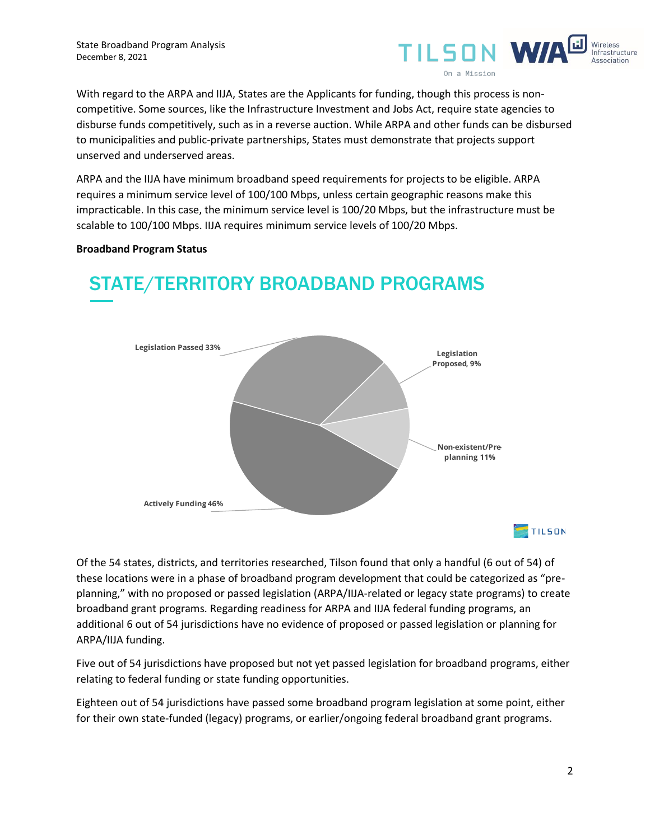

With regard to the ARPA and IIJA, States are the Applicants for funding, though this process is noncompetitive. Some sources, like the Infrastructure Investment and Jobs Act, require state agencies to disburse funds competitively, such as in a reverse auction. While ARPA and other funds can be disbursed to municipalities and public-private partnerships, States must demonstrate that projects support unserved and underserved areas.

ARPA and the IIJA have minimum broadband speed requirements for projects to be eligible. ARPA requires a minimum service level of 100/100 Mbps, unless certain geographic reasons make this impracticable. In this case, the minimum service level is 100/20 Mbps, but the infrastructure must be scalable to 100/100 Mbps. IIJA requires minimum service levels of 100/20 Mbps.

#### **Broadband Program Status**



# **STATE/TERRITORY BROADBAND PROGRAMS**

Of the 54 states, districts, and territories researched, Tilson found that only a handful (6 out of 54) of these locations were in a phase of broadband program development that could be categorized as "preplanning," with no proposed or passed legislation (ARPA/IIJA-related or legacy state programs) to create broadband grant programs. Regarding readiness for ARPA and IIJA federal funding programs, an additional 6 out of 54 jurisdictions have no evidence of proposed or passed legislation or planning for ARPA/IIJA funding.

Five out of 54 jurisdictions have proposed but not yet passed legislation for broadband programs, either relating to federal funding or state funding opportunities.

Eighteen out of 54 jurisdictions have passed some broadband program legislation at some point, either for their own state-funded (legacy) programs, or earlier/ongoing federal broadband grant programs.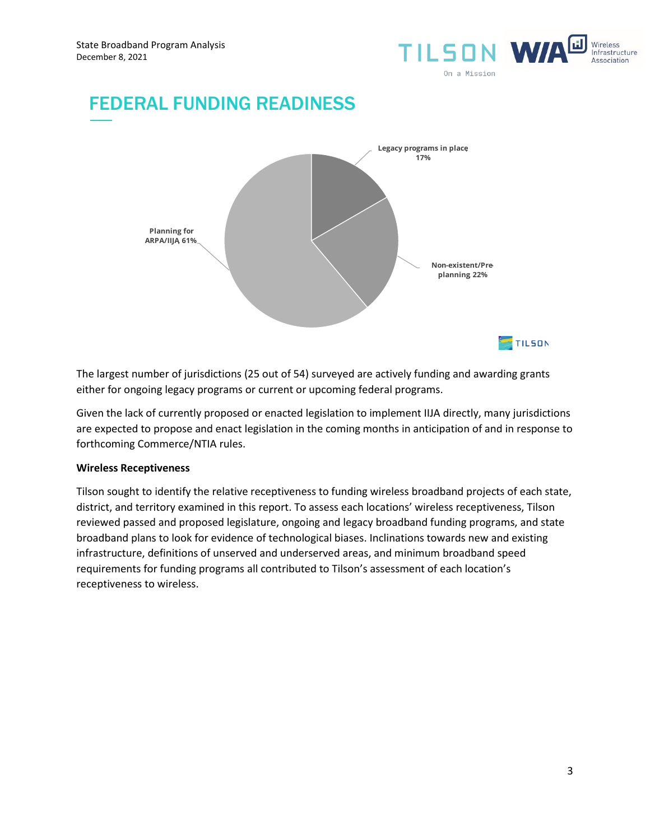

## **FEDERAL FUNDING READINESS**



The largest number of jurisdictions (25 out of 54) surveyed are actively funding and awarding grants either for ongoing legacy programs or current or upcoming federal programs.

Given the lack of currently proposed or enacted legislation to implement IIJA directly, many jurisdictions are expected to propose and enact legislation in the coming months in anticipation of and in response to forthcoming Commerce/NTIA rules.

### **Wireless Receptiveness**

Tilson sought to identify the relative receptiveness to funding wireless broadband projects of each state, district, and territory examined in this report. To assess each locations' wireless receptiveness, Tilson reviewed passed and proposed legislature, ongoing and legacy broadband funding programs, and state broadband plans to look for evidence of technological biases. Inclinations towards new and existing infrastructure, definitions of unserved and underserved areas, and minimum broadband speed requirements for funding programs all contributed to Tilson's assessment of each location's receptiveness to wireless.